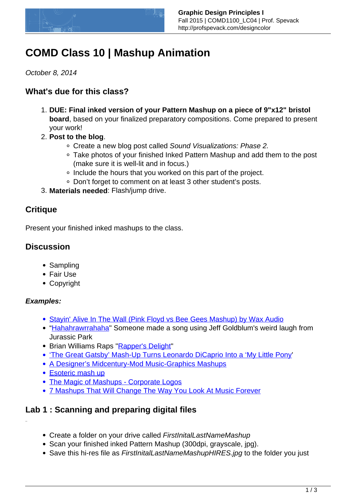

# **COMD Class 10 | Mashup Animation**

October 8, 2014

## **What's due for this class?**

- 1. **DUE: Final inked version of your Pattern Mashup on a piece of 9"x12" bristol board**, based on your finalized preparatory compositions. Come prepared to present your work!
- 2. **Post to the blog**.
	- Create a new blog post called Sound Visualizations: Phase 2.
	- Take photos of your finished Inked Pattern Mashup and add them to the post (make sure it is well-lit and in focus.)
	- Include the hours that you worked on this part of the project.
	- Don't forget to comment on at least 3 other student's posts.
- 3. **Materials needed**: Flash/jump drive.

## **Critique**

Present your finished inked mashups to the class.

## **Discussion**

- Sampling
- Fair Use
- Copyright

### **Examples:**

- [Stayin' Alive In The Wall \(Pink Floyd vs Bee Gees Mashup\) by Wax Audio](http://vimeo.com/28981003)
- "[Hahahrawrrahaha"](https://soundcloud.com/flip-shot/hahahrawrrahaha) Someone made a song using Jeff Goldblum's weird laugh from Jurassic Park
- Brian Williams Raps ["Rapper's Delight"](https://www.youtube.com/watch?v=7CYJ73pVpVc)
- ['The Great Gatsby' Mash-Up Turns Leonardo DiCaprio Into a 'My Little Pony](http://thefw.com/the-great-gatsby-mash-up-leo-dicaprio-my-little-pony/?trackback=tsmclip)'
- [A Designer's Midcentury-Mod Music-Graphics Mashups](http://www.printmag.com/design-education/midcentury-mod-music-graphics-mashups/)
- [Esoteric mash up](http://www.centolodigiani.com/117722/1137674/work/esoteric-mash-up)
- [The Magic of Mashups Corporate Logos](http://cnsinc.tv/672/)
- [7 Mashups That Will Change The Way You Look At Music Forever](http://thoughtcatalog.com/jess-hennenfent/2013/07/7-mashups-that-will-change-the-way-you-look-at-music-forever/)

## **Lab 1 : Scanning and preparing digital files**

- Create a folder on your drive called FirstInitalLastNameMashup
- Scan your finished inked Pattern Mashup (300dpi, grayscale, jpg).
- Save this hi-res file as FirstInitalLastNameMashupHIRES.jpg to the folder you just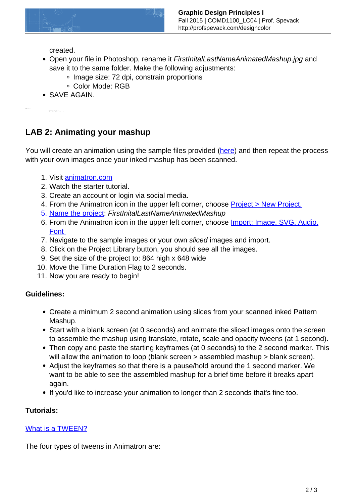

created.

- Open your file in Photoshop, rename it FirstInitalLastNameAnimatedMashup.jpg and save it to the same folder. Make the following adjustments:
	- Image size: 72 dpi, constrain proportions
	- Color Mode: RGB
- SAVE AGAIN.

Using the slice tool, slice up each pattern square for use in your animation.

## **LAB 2: Animating your mashup**

You will create an animation using the sample files provided ([here\)](https://www.dropbox.com/sh/kvlbpmap45zxic6/AAB9l53xGAo8x7y5qF_tfVWBa?dl=0) and then repeat the process with your own images once your inked mashup has been scanned.

- 1. Visit [animatron.com](https://editor.animatron.com)
- 2. Watch the starter tutorial.
- 3. Create an account or login via social media.
- 4. From the Animatron icon in the upper left corner, choose **Project > New Project.**
- 5. [Name the project:](http://kb.animatron.com/kb/project/how-do-i-name-and-rename-projects) FirstInitalLastNameAnimatedMashup
- 6. From the Animatron icon in the upper left corner, choose [Import: Image, SVG, Audio,](http://kb.animatron.com/kb/project/how-do-i-import-images-audio-svgs-fonts-and-video-into-my-project) [Font](http://kb.animatron.com/kb/project/how-do-i-import-images-audio-svgs-fonts-and-video-into-my-project)
- 7. Navigate to the sample images or your own sliced images and import.
- 8. Click on the Project Library button, you should see all the images.
- 9. Set the size of the project to: 864 high x 648 wide
- 10. Move the Time Duration Flag to 2 seconds.
- 11. Now you are ready to begin!

#### **Guidelines:**

- Create a minimum 2 second animation using slices from your scanned inked Pattern Mashup.
- Start with a blank screen (at 0 seconds) and animate the sliced images onto the screen to assemble the mashup using translate, rotate, scale and opacity tweens (at 1 second).
- Then copy and paste the starting keyframes (at 0 seconds) to the 2 second marker. This will allow the animation to loop (blank screen > assembled mashup > blank screen).
- Adjust the keyframes so that there is a pause/hold around the 1 second marker. We want to be able to see the assembled mashup for a brief time before it breaks apart again.
- If you'd like to increase your animation to longer than 2 seconds that's fine too.

#### **Tutorials:**

#### [What is a TWEEN?](http://kb.animatron.com/kb/animation/what-s-a-tween-and-how-do-i-create-one)

The four types of tweens in Animatron are: